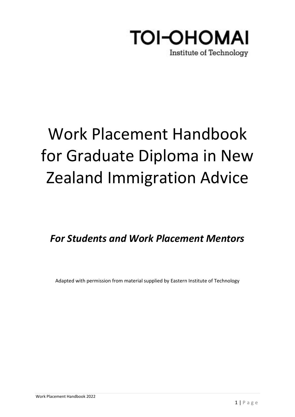

# Work Placement Handbook for Graduate Diploma in New Zealand Immigration Advice

*For Students and Work Placement Mentors*

Adapted with permission from material supplied by Eastern Institute of Technology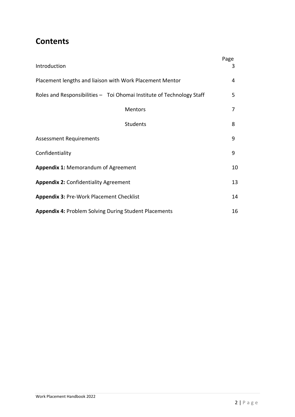## **Contents**

| Introduction                                                          | Page<br>3 |
|-----------------------------------------------------------------------|-----------|
| Placement lengths and liaison with Work Placement Mentor              | 4         |
| Roles and Responsibilities - Toi Ohomai Institute of Technology Staff | 5         |
| Mentors                                                               | 7         |
| <b>Students</b>                                                       | 8         |
| <b>Assessment Requirements</b>                                        | 9         |
| Confidentiality                                                       | 9         |
| <b>Appendix 1: Memorandum of Agreement</b>                            | 10        |
| <b>Appendix 2: Confidentiality Agreement</b>                          | 13        |
| Appendix 3: Pre-Work Placement Checklist                              | 14        |
| <b>Appendix 4: Problem Solving During Student Placements</b>          | 16        |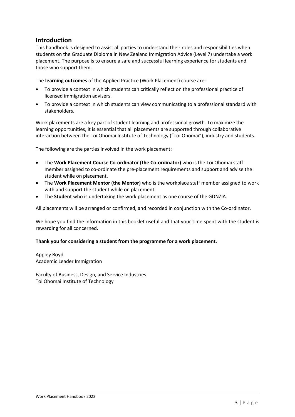## **Introduction**

This handbook is designed to assist all parties to understand their roles and responsibilities when students on the Graduate Diploma in New Zealand Immigration Advice (Level 7) undertake a work placement. The purpose is to ensure a safe and successful learning experience for students and those who support them.

The **learning outcomes** of the Applied Practice (Work Placement) course are:

- To provide a context in which students can critically reflect on the professional practice of licensed immigration advisers.
- To provide a context in which students can view communicating to a professional standard with stakeholders.

Work placements are a key part of student learning and professional growth. To maximize the learning opportunities, it is essential that all placements are supported through collaborative interaction between the Toi Ohomai Institute of Technology ("Toi Ohomai"), industry and students.

The following are the parties involved in the work placement:

- The **Work Placement Course Co-ordinator (the Co-ordinator)** who is the Toi Ohomai staff member assigned to co-ordinate the pre-placement requirements and support and advise the student while on placement.
- The **Work Placement Mentor (the Mentor)** who is the workplace staff member assigned to work with and support the student while on placement.
- The **Student** who is undertaking the work placement as one course of the GDNZIA.

All placements will be arranged or confirmed, and recorded in conjunction with the Co-ordinator.

We hope you find the information in this booklet useful and that your time spent with the student is rewarding for all concerned.

#### **Thank you for considering a student from the programme for a work placement.**

Appley Boyd Academic Leader Immigration

Faculty of Business, Design, and Service Industries Toi Ohomai Institute of Technology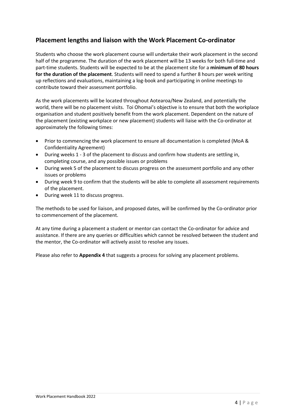## **Placement lengths and liaison with the Work Placement Co-ordinator**

Students who choose the work placement course will undertake their work placement in the second half of the programme. The duration of the work placement will be 13 weeks for both full-time and part-time students. Students will be expected to be at the placement site for a **minimum of 80 hours for the duration of the placement**. Students will need to spend a further 8 hours per week writing up reflections and evaluations, maintaining a log-book and participating in online meetings to contribute toward their assessment portfolio.

As the work placements will be located throughout Aotearoa/New Zealand, and potentially the world, there will be no placement visits. Toi Ohomai's objective is to ensure that both the workplace organisation and student positively benefit from the work placement. Dependent on the nature of the placement (existing workplace or new placement) students will liaise with the Co-ordinator at approximately the following times:

- Prior to commencing the work placement to ensure all documentation is completed (MoA & Confidentiality Agreement)
- During weeks 1 3 of the placement to discuss and confirm how students are settling in, completing course, and any possible issues or problems
- During week 5 of the placement to discuss progress on the assessment portfolio and any other issues or problems
- During week 9 to confirm that the students will be able to complete all assessment requirements of the placement.
- During week 11 to discuss progress.

The methods to be used for liaison, and proposed dates, will be confirmed by the Co-ordinator prior to commencement of the placement.

At any time during a placement a student or mentor can contact the Co-ordinator for advice and assistance. If there are any queries or difficulties which cannot be resolved between the student and the mentor, the Co-ordinator will actively assist to resolve any issues.

Please also refer to **Appendix 4** that suggests a process for solving any placement problems.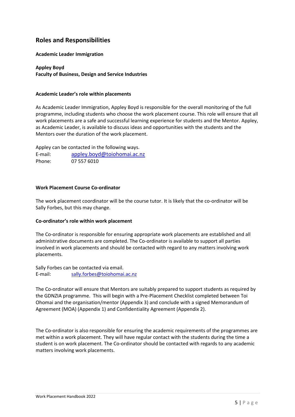## **Roles and Responsibilities**

#### **Academic Leader Immigration**

#### **Appley Boyd Faculty of Business, Design and Service Industries**

#### **Academic Leader's role within placements**

As Academic Leader Immigration, Appley Boyd is responsible for the overall monitoring of the full programme, including students who choose the work placement course. This role will ensure that all work placements are a safe and successful learning experience for students and the Mentor. Appley, as Academic Leader, is available to discuss ideas and opportunities with the students and the Mentors over the duration of the work placement.

Appley can be contacted in the following ways. E-mail: [appley.boyd@toiohomai.ac.nz](mailto:appley.boyd@toiohomai.ac.nz) Phone: 07 557 6010

#### **Work Placement Course Co-ordinator**

The work placement coordinator will be the course tutor. It is likely that the co-ordinator will be Sally Forbes, but this may change.

#### **Co-ordinator's role within work placement**

The Co-ordinator is responsible for ensuring appropriate work placements are established and all administrative documents are completed. The Co-ordinator is available to support all parties involved in work placements and should be contacted with regard to any matters involving work placements.

Sally Forbes can be contacted via email. E-mail: [sally.forbes@toiohomai.ac.nz](mailto:sally.forbes@toiohomai.ac.nz)

The Co-ordinator will ensure that Mentors are suitably prepared to support students as required by the GDNZIA programme. This will begin with a Pre-Placement Checklist completed between Toi Ohomai and the organisation/mentor (Appendix 3) and conclude with a signed Memorandum of Agreement (MOA) (Appendix 1) and Confidentiality Agreement (Appendix 2).

The Co-ordinator is also responsible for ensuring the academic requirements of the programmes are met within a work placement. They will have regular contact with the students during the time a student is on work placement. The Co-ordinator should be contacted with regards to any academic matters involving work placements.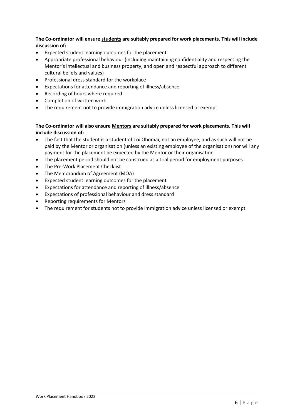#### **The Co-ordinator will ensure students are suitably prepared for work placements. This will include discussion of:**

- Expected student learning outcomes for the placement
- Appropriate professional behaviour (including maintaining confidentiality and respecting the Mentor's intellectual and business property, and open and respectful approach to different cultural beliefs and values)
- Professional dress standard for the workplace
- Expectations for attendance and reporting of illness/absence
- Recording of hours where required
- Completion of written work
- The requirement not to provide immigration advice unless licensed or exempt.

#### **The Co-ordinator will also ensure Mentors are suitably prepared for work placements. This will include discussion of:**

- The fact that the student is a student of Toi Ohomai, not an employee, and as such will not be paid by the Mentor or organisation (unless an existing employee of the organisation) nor will any payment for the placement be expected by the Mentor or their organisation
- The placement period should not be construed as a trial period for employment purposes
- The Pre-Work Placement Checklist
- The Memorandum of Agreement (MOA)
- Expected student learning outcomes for the placement
- Expectations for attendance and reporting of illness/absence
- Expectations of professional behaviour and dress standard
- Reporting requirements for Mentors
- The requirement for students not to provide immigration advice unless licensed or exempt.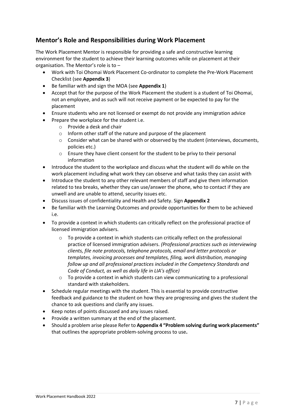## **Mentor's Role and Responsibilities during Work Placement**

The Work Placement Mentor is responsible for providing a safe and constructive learning environment for the student to achieve their learning outcomes while on placement at their organisation. The Mentor's role is to –

- Work with Toi Ohomai Work Placement Co-ordinator to complete the Pre-Work Placement Checklist (see **Appendix 3**)
- Be familiar with and sign the MOA (see **Appendix 1**)
- Accept that for the purpose of the Work Placement the student is a student of Toi Ohomai, not an employee, and as such will not receive payment or be expected to pay for the placement
- Ensure students who are not licensed or exempt do not provide any immigration advice
	- Prepare the workplace for the student i.e.
		- o Provide a desk and chair
		- o Inform other staff of the nature and purpose of the placement
		- $\circ$  Consider what can be shared with or observed by the student (interviews, documents, policies etc.)
		- o Ensure they have client consent for the student to be privy to their personal information
- Introduce the student to the workplace and discuss what the student will do while on the work placement including what work they can observe and what tasks they can assist with
- Introduce the student to any other relevant members of staff and give them information related to tea breaks, whether they can use/answer the phone, who to contact if they are unwell and are unable to attend, security issues etc.
- Discuss issues of confidentiality and Health and Safety. Sign **Appendix 2**
- Be familiar with the Learning Outcomes and provide opportunities for them to be achieved i.e.
- To provide a context in which students can critically reflect on the professional practice of licensed immigration advisers.
	- $\circ$  To provide a context in which students can critically reflect on the professional practice of licensed immigration advisers. *(Professional practices such as interviewing clients, file note protocols, telephone protocols, email and letter protocols or templates, invoicing processes and templates, filing, work distribution, managing follow up and all professional practices included in the Competency Standards and Code of Conduct, as well as daily life in LIA's office)*
	- $\circ$  To provide a context in which students can view communicating to a professional standard with stakeholders.
- Schedule regular meetings with the student. This is essential to provide constructive feedback and guidance to the student on how they are progressing and gives the student the chance to ask questions and clarify any issues.
- Keep notes of points discussed and any issues raised.
- Provide a written summary at the end of the placement.
- Should a problem arise please Refer to **Appendix 4 "Problem solving during work placements"**  that outlines the appropriate problem-solving process to use**.**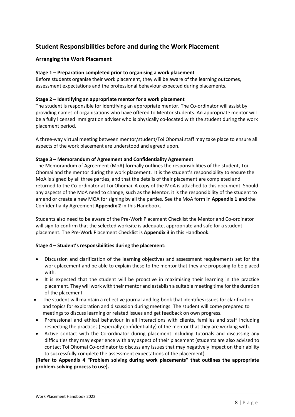## **Student Responsibilities before and during the Work Placement**

#### **Arranging the Work Placement**

#### **Stage 1 – Preparation completed prior to organising a work placement**

Before students organise their work placement, they will be aware of the learning outcomes, assessment expectations and the professional behaviour expected during placements.

#### **Stage 2 – Identifying an appropriate mentor for a work placement**

The student is responsible for identifying an appropriate mentor. The Co-ordinator will assist by providing names of organisations who have offered to Mentor students. An appropriate mentor will be a fully licensed immigration adviser who is physically co-located with the student during the work placement period.

A three-way virtual meeting between mentor/student/Toi Ohomai staff may take place to ensure all aspects of the work placement are understood and agreed upon.

#### **Stage 3 – Memorandum of Agreement and Confidentiality Agreement**

The Memorandum of Agreement (MoA) formally outlines the responsibilities of the student, Toi Ohomai and the mentor during the work placement. It is the student's responsibility to ensure the MoA is signed by all three parties, and that the details of their placement are completed and returned to the Co-ordinator at Toi Ohomai. A copy of the MoA is attached to this document. Should any aspects of the MoA need to change, such as the Mentor, it is the responsibility of the student to amend or create a new MOA for signing by all the parties. See the MoA form in **Appendix 1 an**d the Confidentiality Agreement **Appendix 2** in this Handbook.

Students also need to be aware of the Pre-Work Placement Checklist the Mentor and Co-ordinator will sign to confirm that the selected worksite is adequate, appropriate and safe for a student placement. The Pre-Work Placement Checklist is **Appendix 3** in this Handbook.

#### **Stage 4 – Student's responsibilities during the placement:**

- Discussion and clarification of the learning objectives and assessment requirements set for the work placement and be able to explain these to the mentor that they are proposing to be placed with.
- It is expected that the student will be proactive in maximising their learning in the practice placement. They will work with their mentor and establish a suitable meeting time for the duration of the placement
- The student will maintain a reflective journal and log-book that identifies issues for clarification and topics for exploration and discussion during meetings. The student will come prepared to meetings to discuss learning or related issues and get feedback on own progress.
- Professional and ethical behaviour in all interactions with clients, families and staff including respecting the practices (especially confidentiality) of the mentor that they are working with.
- Active contact with the Co-ordinator during placement including tutorials and discussing any difficulties they may experience with any aspect of their placement (students are also advised to contact Toi Ohomai Co-ordinator to discuss any issues that may negatively impact on their ability to successfully complete the assessment expectations of the placement).

**(Refer to Appendix 4 "Problem solving during work placements" that outlines the appropriate problem-solving process to use).**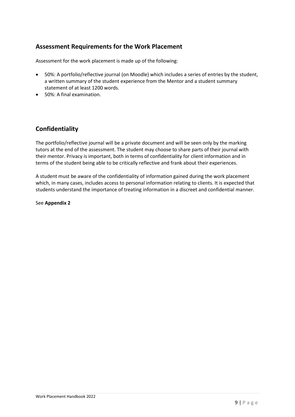## **Assessment Requirements for the Work Placement**

Assessment for the work placement is made up of the following:

- 50%: A portfolio/reflective journal (on Moodle) which includes a series of entries by the student, a written summary of the student experience from the Mentor and a student summary statement of at least 1200 words.
- 50%: A final examination.

## **Confidentiality**

The portfolio/reflective journal will be a private document and will be seen only by the marking tutors at the end of the assessment. The student may choose to share parts of their journal with their mentor. Privacy is important, both in terms of confidentiality for client information and in terms of the student being able to be critically reflective and frank about their experiences.

A student must be aware of the confidentiality of information gained during the work placement which, in many cases, includes access to personal information relating to clients. It is expected that students understand the importance of treating information in a discreet and confidential manner.

See **Appendix 2**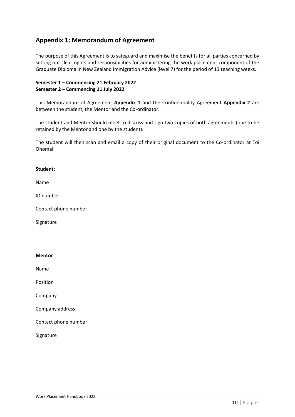## **Appendix 1: Memorandum of Agreement**

The purpose of this Agreement is to safeguard and maximise the benefits for all parties concerned by setting out clear rights and responsibilities for administering the work placement component of the Graduate Diploma in New Zealand Immigration Advice (level 7) for the period of 13 teaching weeks.

#### **Semester 1 – Commencing 21 February 2022 Semester 2 – Commencing 11 July 2022**

This Memorandum of Agreement **Appendix 1** and the Confidentiality Agreement **Appendix 2** are between the student, the Mentor and the Co-ordinator.

The student and Mentor should meet to discuss and sign two copies of both agreements (one to be retained by the Mentor and one by the student).

The student will then scan and email a copy of their original document to the Co-ordinator at Toi Ohomai.

#### **Student:**

Name

ID number

Contact phone number

**Signature** 

#### **Mentor**

Name

Position

Company

Company address

Contact phone number

Signature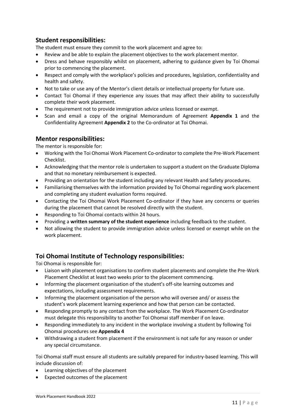## **Student responsibilities:**

The student must ensure they commit to the work placement and agree to:

- Review and be able to explain the placement objectives to the work placement mentor.
- Dress and behave responsibly whilst on placement, adhering to guidance given by Toi Ohomai prior to commencing the placement.
- Respect and comply with the workplace's policies and procedures, legislation, confidentiality and health and safety.
- Not to take or use any of the Mentor's client details or intellectual property for future use.
- Contact Toi Ohomai if they experience any issues that may affect their ability to successfully complete their work placement.
- The requirement not to provide immigration advice unless licensed or exempt.
- Scan and email a copy of the original Memorandum of Agreement **Appendix 1** and the Confidentiality Agreement **Appendix 2** to the Co-ordinator at Toi Ohomai.

### **Mentor responsibilities:**

The mentor is responsible for:

- Working with the Toi Ohomai Work Placement Co-ordinator to complete the Pre-Work Placement Checklist.
- Acknowledging that the mentor role is undertaken to support a student on the Graduate Diploma and that no monetary reimbursement is expected.
- Providing an orientation for the student including any relevant Health and Safety procedures.
- Familiarising themselves with the information provided by Toi Ohomai regarding work placement and completing any student evaluation forms required.
- Contacting the Toi Ohomai Work Placement Co-ordinator if they have any concerns or queries during the placement that cannot be resolved directly with the student.
- Responding to Toi Ohomai contacts within 24 hours.
- Providing a **written summary of the student experience** including feedback to the student.
- Not allowing the student to provide immigration advice unless licensed or exempt while on the work placement.

## **Toi Ohomai Institute of Technology responsibilities:**

Toi Ohomai is responsible for:

- Liaison with placement organisations to confirm student placements and complete the Pre-Work Placement Checklist at least two weeks prior to the placement commencing.
- Informing the placement organisation of the student's off-site learning outcomes and expectations, including assessment requirements.
- Informing the placement organisation of the person who will oversee and/ or assess the student's work placement learning experience and how that person can be contacted.
- Responding promptly to any contact from the workplace. The Work Placement Co-ordinator must delegate this responsibility to another Toi Ohomai staff member if on leave.
- Responding immediately to any incident in the workplace involving a student by following Toi Ohomai procedures see **Appendix 4**
- Withdrawing a student from placement if the environment is not safe for any reason or under any special circumstance.

Toi Ohomai staff must ensure all students are suitably prepared for industry-based learning. This will include discussion of:

- Learning objectives of the placement
- Expected outcomes of the placement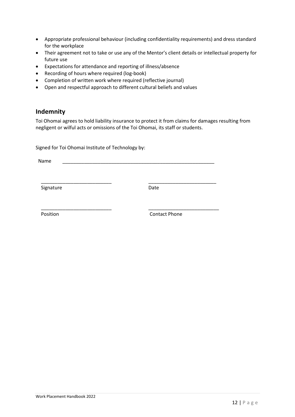- Appropriate professional behaviour (including confidentiality requirements) and dress standard for the workplace
- Their agreement not to take or use any of the Mentor's client details or intellectual property for future use
- Expectations for attendance and reporting of illness/absence
- Recording of hours where required (log-book)
- Completion of written work where required (reflective journal)
- Open and respectful approach to different cultural beliefs and values

## **Indemnity**

Toi Ohomai agrees to hold liability insurance to protect it from claims for damages resulting from negligent or wilful acts or omissions of the Toi Ohomai, its staff or students.

Signed for Toi Ohomai Institute of Technology by:

Name \_\_\_\_\_\_\_\_\_\_\_\_\_\_\_\_\_\_\_\_\_\_\_\_\_\_\_\_\_\_\_\_\_\_\_\_\_\_\_\_\_\_\_\_\_\_\_\_\_\_\_\_\_\_\_\_

\_\_\_\_\_\_\_\_\_\_\_\_\_\_\_\_\_\_\_\_\_\_\_\_\_\_ \_\_\_\_\_\_\_\_\_\_\_\_\_\_\_\_\_\_\_\_\_\_\_\_\_

\_\_\_\_\_\_\_\_\_\_\_\_\_\_\_\_\_\_\_\_\_\_\_\_\_\_ \_\_\_\_\_\_\_\_\_\_\_\_\_\_\_\_\_\_\_\_\_\_\_\_\_\_

Signature Date

Position **Contact Phone**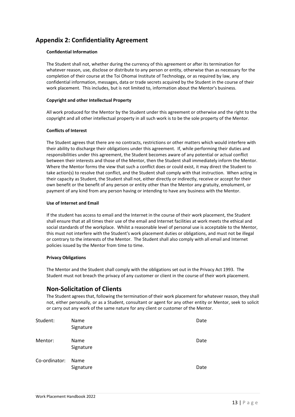## **Appendix 2: Confidentiality Agreement**

#### **Confidential Information**

The Student shall not, whether during the currency of this agreement or after its termination for whatever reason, use, disclose or distribute to any person or entity, otherwise than as necessary for the completion of their course at the Toi Ohomai Institute of Technology, or as required by law, any confidential information, messages, data or trade secrets acquired by the Student in the course of their work placement. This includes, but is not limited to, information about the Mentor's business.

#### **Copyright and other Intellectual Property**

All work produced for the Mentor by the Student under this agreement or otherwise and the right to the copyright and all other intellectual property in all such work is to be the sole property of the Mentor.

#### **Conflicts of Interest**

The Student agrees that there are no contracts, restrictions or other matters which would interfere with their ability to discharge their obligations under this agreement. If, while performing their duties and responsibilities under this agreement, the Student becomes aware of any potential or actual conflict between their interests and those of the Mentor, then the Student shall immediately inform the Mentor. Where the Mentor forms the view that such a conflict does or could exist, it may direct the Student to take action(s) to resolve that conflict, and the Student shall comply with that instruction. When acting in their capacity as Student, the Student shall not, either directly or indirectly, receive or accept for their own benefit or the benefit of any person or entity other than the Mentor any gratuity, emolument, or payment of any kind from any person having or intending to have any business with the Mentor.

#### **Use of Internet and Email**

If the student has access to email and the Internet in the course of their work placement, the Student shall ensure that at all times their use of the email and Internet facilities at work meets the ethical and social standards of the workplace. Whilst a reasonable level of personal use is acceptable to the Mentor, this must not interfere with the Student's work placement duties or obligations, and must not be illegal or contrary to the interests of the Mentor. The Student shall also comply with all email and Internet policies issued by the Mentor from time to time.

#### **Privacy Obligations**

The Mentor and the Student shall comply with the obligations set out in the Privacy Act 1993. The Student must not breach the privacy of any customer or client in the course of their work placement.

## **Non-Solicitation of Clients**

The Student agrees that, following the termination of their work placement for whatever reason, they shall not, either personally, or as a Student, consultant or agent for any other entity or Mentor, seek to solicit or carry out any work of the same nature for any client or customer of the Mentor.

| Student:      | Name<br>Signature | Date |
|---------------|-------------------|------|
| Mentor:       | Name<br>Signature | Date |
| Co-ordinator: | Name<br>Signature | Date |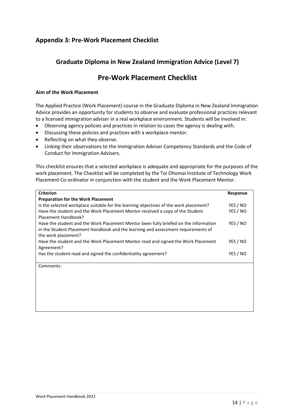## **Appendix 3: Pre-Work Placement Checklist**

## **Graduate Diploma in New Zealand Immigration Advice (Level 7)**

## **Pre-Work Placement Checklist**

#### **Aim of the Work Placement**

The Applied Practice (Work Placement) course in the Graduate Diploma in New Zealand Immigration Advice provides an opportunity for students to observe and evaluate professional practices relevant to a licensed immigration adviser in a real workplace environment. Students will be involved in:

- Observing agency policies and practices in relation to cases the agency is dealing with.
- Discussing these policies and practices with a workplace mentor.
- Reflecting on what they observe.
- Linking their observations to the Immigration Adviser Competency Standards and the Code of Conduct for Immigration Advisers.

This checklist ensures that a selected workplace is adequate and appropriate for the purposes of the work placement. The Checklist will be completed by the Toi Ohomai Institute of Technology Work Placement Co-ordinator in conjunction with the student and the Work Placement Mentor.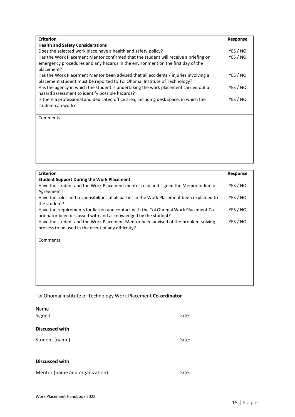| <b>Criterion</b>                                                                                                                                                                     | <b>Response</b> |
|--------------------------------------------------------------------------------------------------------------------------------------------------------------------------------------|-----------------|
| <b>Health and Safety Considerations</b>                                                                                                                                              |                 |
| Does the selected work place have a health and safety policy?                                                                                                                        | YES / NO        |
| Has the Work Placement Mentor confirmed that the student will receive a briefing on<br>emergency procedures and any hazards in the environment on the first day of the<br>placement? | YES / NO        |
| Has the Work Placement Mentor been advised that all accidents / injuries involving a<br>placement student must be reported to Toi Ohomai Institute of Technology?                    | YES / NO        |
| Has the agency in which the student is undertaking the work placement carried out a<br>hazard assessment to identify possible hazards?                                               | YES / NO        |
| Is there a professional and dedicated office area, including desk space, in which the<br>student can work?                                                                           | YES / NO        |

Comments:

| <b>Criterion</b>                                                                                                                                       | <b>Response</b> |
|--------------------------------------------------------------------------------------------------------------------------------------------------------|-----------------|
| <b>Student Support During the Work Placement</b>                                                                                                       |                 |
| Have the student and the Work Placement mentor read and signed the Memorandum of<br>Agreement?                                                         | YES / NO        |
| Have the roles and responsibilities of all parties in the Work Placement been explained to<br>the student?                                             | YES / NO        |
| Have the requirements for liaison and contact with the Toi Ohomai Work Placement Co-<br>ordinator been discussed with and acknowledged by the student? | YES / NO        |
| Have the student and the Work Placement Mentor been advised of the problem-solving<br>process to be used in the event of any difficulty?               | YES / NO        |
| Comments:                                                                                                                                              |                 |
|                                                                                                                                                        |                 |
|                                                                                                                                                        |                 |
|                                                                                                                                                        |                 |

## Toi Ohomai Institute of Technology Work Placement **Co-ordinator**

| Name<br>Signed:                | Date: |
|--------------------------------|-------|
| <b>Discussed with</b>          |       |
| Student (name)                 | Date: |
|                                |       |
| <b>Discussed with</b>          |       |
| Mentor (name and organization) | Date: |

Work Placement Handbook 2022